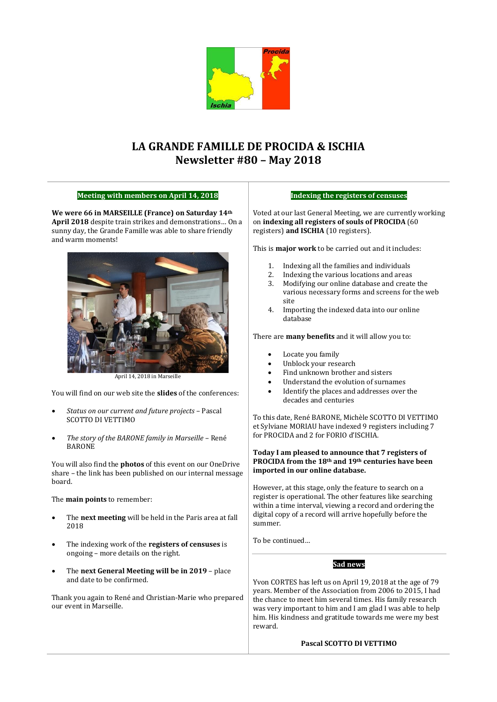

# **LA GRANDE FAMILLE DE PROCIDA & ISCHIA Newsletter #80 – May 2018**

# **Meeting with members on April 14, 2018**

**We were 66 in MARSEILLE (France) on Saturday 14th April 2018** despite train strikes and demonstrations… On a sunny day, the Grande Famille was able to share friendly and warm moments!



April 14, 2018 in Marseille

You will find on our web site the **slides** of the conferences:

- *Status on our current and future projects* Pascal SCOTTO DI VETTIMO
- *The story of the BARONE family in Marseille*  René BARONE

You will also find the **photos** of this event on our OneDrive share – the link has been published on our internal message board.

The **main points** to remember:

- The **next meeting** will be held in the Paris area at fall 2018
- The indexing work of the **registers of censuses** is ongoing – more details on the right.
- The **next General Meeting will be in 2019** place and date to be confirmed.

Thank you again to René and Christian-Marie who prepared our event in Marseille.

### **Indexing the registers of censuses**

Voted at our last General Meeting, we are currently working on **indexing all registers of souls of PROCIDA** (60 registers) **and ISCHIA** (10 registers).

This is **major work** to be carried out and it includes:

- 1. Indexing all the families and individuals
- 2. Indexing the various locations and areas
- 3. Modifying our online database and create the various necessary forms and screens for the web site
- 4. Importing the indexed data into our online database

There are **many benefits** and it will allow you to:

- Locate you family
- Unblock your research
- Find unknown brother and sisters
- Understand the evolution of surnames
- Identify the places and addresses over the decades and centuries

To this date, René BARONE, Michèle SCOTTO DI VETTIMO et Sylviane MORIAU have indexed 9 registers including 7 for PROCIDA and 2 for FORIO d'ISCHIA.

### **Today I am pleased to announce that 7 registers of PROCIDA from the 18th and 19th centuries have been imported in our online database.**

However, at this stage, only the feature to search on a register is operational. The other features like searching within a time interval, viewing a record and ordering the digital copy of a record will arrive hopefully before the summer.

To be continued…

# **Sad news**

Yvon CORTES has left us on April 19, 2018 at the age of 79 years. Member of the Association from 2006 to 2015, I had the chance to meet him several times. His family research was very important to him and I am glad I was able to help him. His kindness and gratitude towards me were my best reward.

### **Pascal SCOTTO DI VETTIMO**